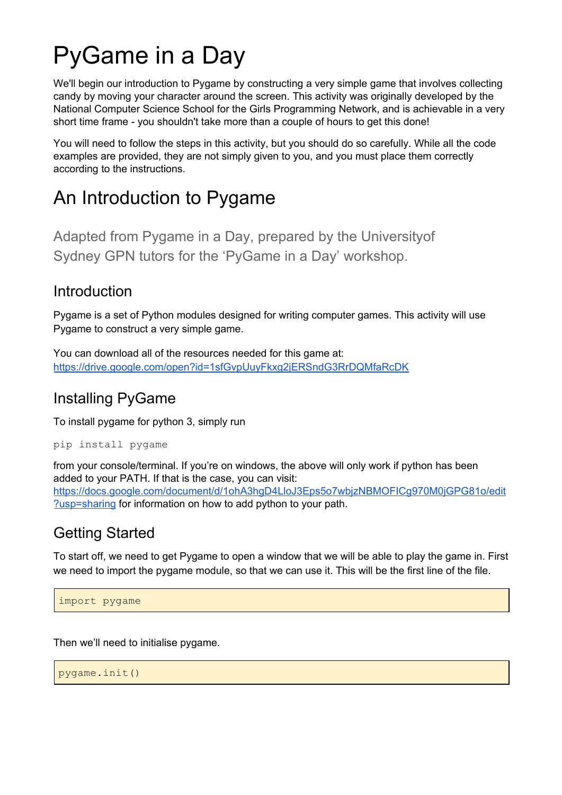# PyGame in a Day

We'll begin our introduction to Pygame by constructing a very simple game that involves collecting candy by moving your character around the screen. This activity was originally developed by the National Computer Science School for the Girls Programming Network, and is achievable in a very short time frame - you shouldn't take more than a couple of hours to get this done!

You will need to follow the steps in this activity, but you should do so carefully. While all the code examples are provided, they are not simply given to you, and you must place them correctly according to the instructions.

# An Introduction to Pygame

Adapted from Pygame in a Day, prepared by the Universityof Sydney GPN tutors for the 'PyGame in a Day' workshop.

#### Introduction

Pygame is a set of Python modules designed for writing computer games. This activity will use Pygame to construct a very simple game.

You can download all of the resources needed for this game at: <https://drive.google.com/open?id=1sfGvpUuyFkxg2jERSndG3RrDQMfaRcDK>

# Installing PyGame

To install pygame for python 3, simply run

pip install pygame

from your console/terminal. If you're on windows, the above will only work if python has been added to your PATH. If that is the case, you can visit: [https://docs.google.com/document/d/1ohA3hgD4LloJ3Eps5o7wbjzNBMOFICg970M0jGPG81o/edit](https://docs.google.com/document/d/1ohA3hgD4LloJ3Eps5o7wbjzNBMOFICg970M0jGPG81o/edit?usp=sharing) [?usp=sharing](https://docs.google.com/document/d/1ohA3hgD4LloJ3Eps5o7wbjzNBMOFICg970M0jGPG81o/edit?usp=sharing) for information on how to add python to your path.

## Getting Started

To start off, we need to get Pygame to open a window that we will be able to play the game in. First we need to import the pygame module, so that we can use it. This will be the first line of the file.

import pygame

Then we'll need to initialise pygame.

pygame.init()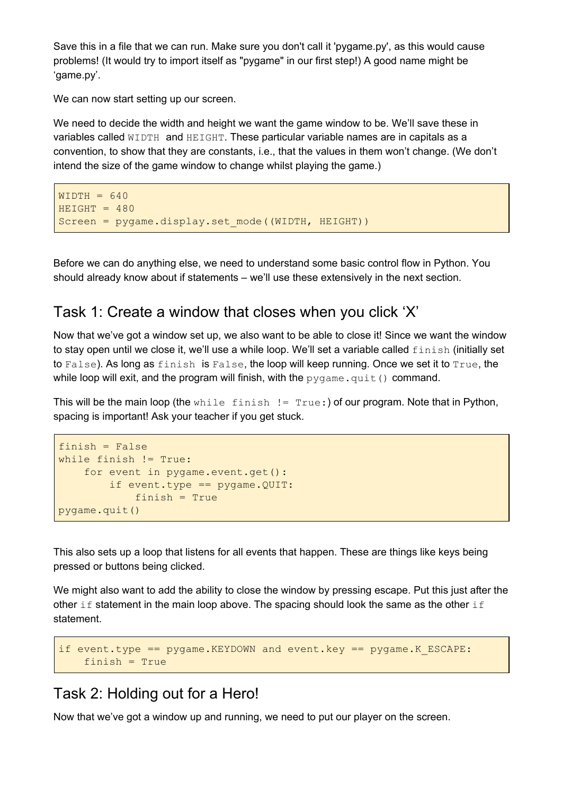Save this in a file that we can run. Make sure you don't call it 'pygame.py', as this would cause problems! (It would try to import itself as "pygame" in our first step!) A good name might be 'game.py'.

We can now start setting up our screen.

We need to decide the width and height we want the game window to be. We'll save these in variables called WIDTH and HEIGHT. These particular variable names are in capitals as a convention, to show that they are constants, i.e., that the values in them won't change. (We don't intend the size of the game window to change whilst playing the game.)

```
WIDTH = 640HEIGHT = 480Screen = pygame.display.set mode((WIDTH, HEIGHT))
```
Before we can do anything else, we need to understand some basic control flow in Python. You should already know about if statements – we'll use these extensively in the next section.

#### Task 1: Create a window that closes when you click 'X'

Now that we've got a window set up, we also want to be able to close it! Since we want the window to stay open until we close it, we'll use a while loop. We'll set a variable called  $flink \text{in}$  (initially set to False). As long as finish is False, the loop will keep running. Once we set it to True, the while loop will exit, and the program will finish, with the  $pyqame$ .  $quit()$  command.

This will be the main loop (the  $\text{while}$  finish  $!=$  True:) of our program. Note that in Python, spacing is important! Ask your teacher if you get stuck.

```
finish = False
while finish != True:
   for event in pygame.event.get():
        if event.type == pygame.QUIT:
            finish = True
pygame.quit()
```
This also sets up a loop that listens for all events that happen. These are things like keys being pressed or buttons being clicked.

We might also want to add the ability to close the window by pressing escape. Put this just after the other if statement in the main loop above. The spacing should look the same as the other if statement.

```
if event.type == pygame.KEYDOWN and event.key == pygame.K ESCAPE:
   finish = True
```
#### Task 2: Holding out for a Hero!

Now that we've got a window up and running, we need to put our player on the screen.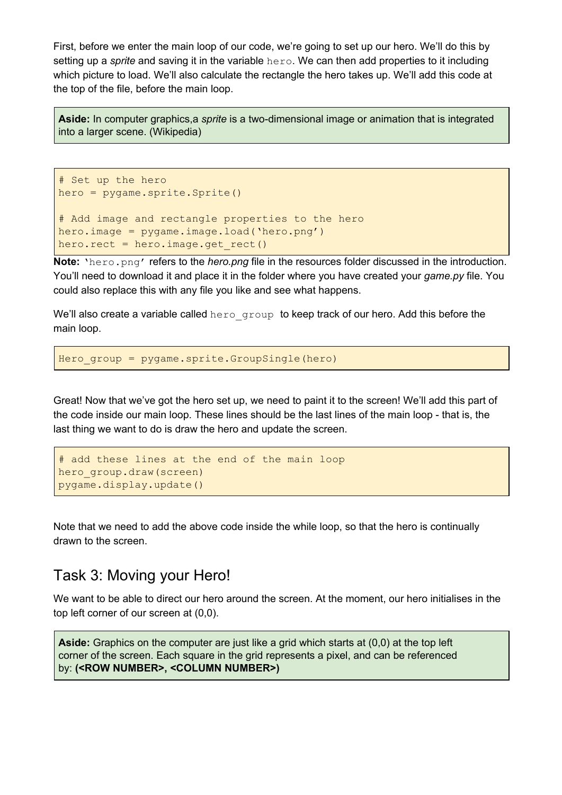First, before we enter the main loop of our code, we're going to set up our hero. We'll do this by setting up a *sprite* and saving it in the variable hero. We can then add properties to it including which picture to load. We'll also calculate the rectangle the hero takes up. We'll add this code at the top of the file, before the main loop.

**Aside:** In computer graphics,a *sprite* is a two-dimensional image or animation that is integrated into a larger scene. (Wikipedia)

```
# Set up the hero
hero = pygame.sprite.Sprite()
# Add image and rectangle properties to the hero
hero.image = pygame.image.load('hero.png')
hero.rect = hero.image.get rect()
```
**Note:** 'hero.png' refers to the *hero.png* file in the resources folder discussed in the introduction. You'll need to download it and place it in the folder where you have created your *game.py* file. You could also replace this with any file you like and see what happens.

We'll also create a variable called hero group to keep track of our hero. Add this before the main loop.

Hero group = pygame.sprite.GroupSingle(hero)

Great! Now that we've got the hero set up, we need to paint it to the screen! We'll add this part of the code inside our main loop. These lines should be the last lines of the main loop - that is, the last thing we want to do is draw the hero and update the screen.

```
# add these lines at the end of the main loop
hero_group.draw(screen)
pygame.display.update()
```
Note that we need to add the above code inside the while loop, so that the hero is continually drawn to the screen.

#### Task 3: Moving your Hero!

We want to be able to direct our hero around the screen. At the moment, our hero initialises in the top left corner of our screen at (0,0).

**Aside:** Graphics on the computer are just like a grid which starts at (0,0) at the top left corner of the screen. Each square in the grid represents a pixel, and can be referenced by: **(<ROW NUMBER>, <COLUMN NUMBER>)**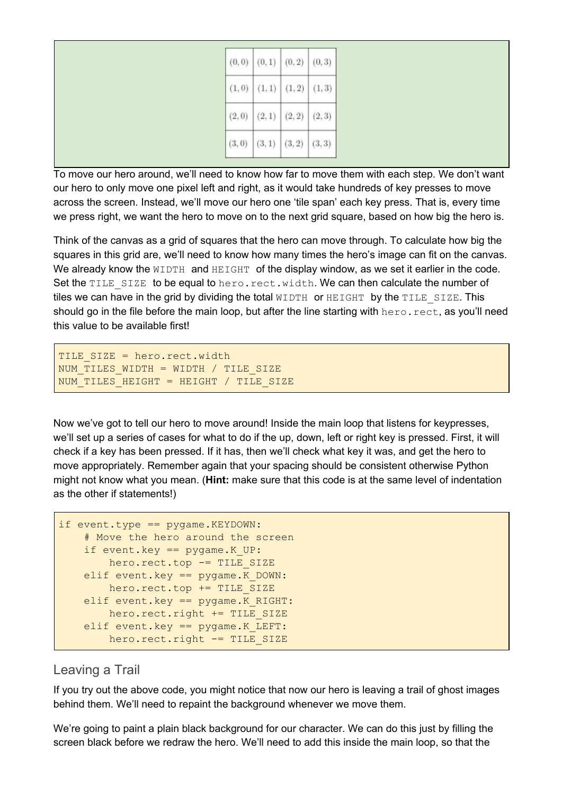| $(0,0)$ $(0,1)$ $(0,2)$ $(0,3)$ |
|---------------------------------|
| $(1,0)$ $(1,1)$ $(1,2)$ $(1,3)$ |
| $(2,0)$ $(2,1)$ $(2,2)$ $(2,3)$ |
| $(3,0)$ $(3,1)$ $(3,2)$ $(3,3)$ |

To move our hero around, we'll need to know how far to move them with each step. We don't want our hero to only move one pixel left and right, as it would take hundreds of key presses to move across the screen. Instead, we'll move our hero one 'tile span' each key press. That is, every time we press right, we want the hero to move on to the next grid square, based on how big the hero is.

Think of the canvas as a grid of squares that the hero can move through. To calculate how big the squares in this grid are, we'll need to know how many times the hero's image can fit on the canvas. We already know the WIDTH and HEIGHT of the display window, as we set it earlier in the code. Set the TILE SIZE to be equal to hero.rect.width. We can then calculate the number of tiles we can have in the grid by dividing the total  $WIDTH$  or  $HEIGHT$  by the TILE SIZE. This should go in the file before the main loop, but after the line starting with  $\text{here}$ , rect, as you'll need this value to be available first!

```
TILE SIZE = hero.rect.width
NUM TILES WIDTH = WIDTH / TILE SIZE
NUM_TILES_HEIGHT = HEIGHT / TILE_SIZE
```
Now we've got to tell our hero to move around! Inside the main loop that listens for keypresses, we'll set up a series of cases for what to do if the up, down, left or right key is pressed. First, it will check if a key has been pressed. If it has, then we'll check what key it was, and get the hero to move appropriately. Remember again that your spacing should be consistent otherwise Python might not know what you mean. (**Hint:** make sure that this code is at the same level of indentation as the other if statements!)

```
if event.type == pygame.KEYDOWN:
    # Move the hero around the screen
   if event.key == pygame.K UP:
       hero.rect.top -= TILE SIZE
   elif event.key == pygame.K_DOWN:
       hero.rect.top += TILE_SIZE
   elif event.key == pygame.K RIGHT:
       hero.rect.right += TILE SIZE
   elif event.key == pygame.K LEFT:
       hero.rect.right -= TILE SIZE
```
#### Leaving a Trail

If you try out the above code, you might notice that now our hero is leaving a trail of ghost images behind them. We'll need to repaint the background whenever we move them.

We're going to paint a plain black background for our character. We can do this just by filling the screen black before we redraw the hero. We'll need to add this inside the main loop, so that the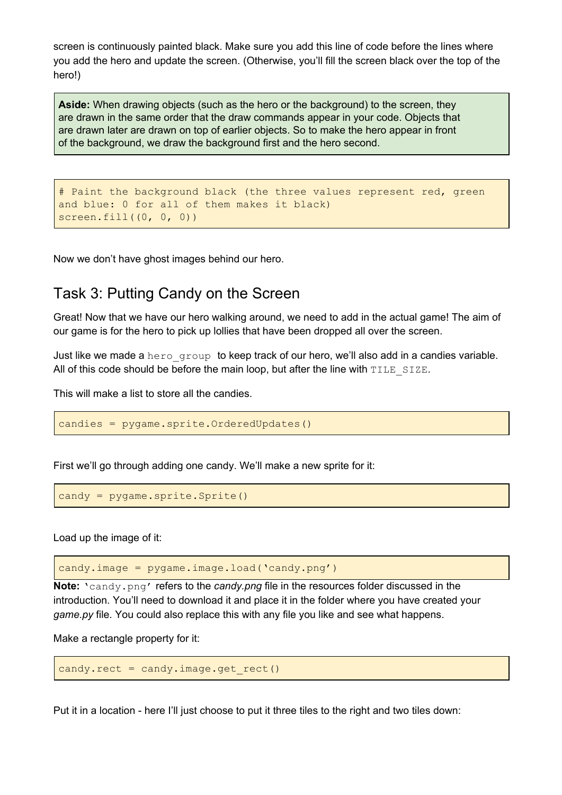screen is continuously painted black. Make sure you add this line of code before the lines where you add the hero and update the screen. (Otherwise, you'll fill the screen black over the top of the hero!)

**Aside:** When drawing objects (such as the hero or the background) to the screen, they are drawn in the same order that the draw commands appear in your code. Objects that are drawn later are drawn on top of earlier objects. So to make the hero appear in front of the background, we draw the background first and the hero second.

```
# Paint the background black (the three values represent red, green
and blue: 0 for all of them makes it black)
screen.fill((0, 0, 0))
```
Now we don't have ghost images behind our hero.

#### Task 3: Putting Candy on the Screen

Great! Now that we have our hero walking around, we need to add in the actual game! The aim of our game is for the hero to pick up lollies that have been dropped all over the screen.

Just like we made a hero group to keep track of our hero, we'll also add in a candies variable. All of this code should be before the main loop, but after the line with  $\texttt{TIME}$  SIZE.

This will make a list to store all the candies.

candies = pygame.sprite.OrderedUpdates()

First we'll go through adding one candy. We'll make a new sprite for it:

candy = pygame.sprite.Sprite()

Load up the image of it:

candy.image = pygame.image.load('candy.png')

**Note:** 'candy.png' refers to the *candy.png* file in the resources folder discussed in the introduction. You'll need to download it and place it in the folder where you have created your *game.py* file. You could also replace this with any file you like and see what happens.

Make a rectangle property for it:

```
candy.rect = candy.inage.get rect()
```
Put it in a location - here I'll just choose to put it three tiles to the right and two tiles down: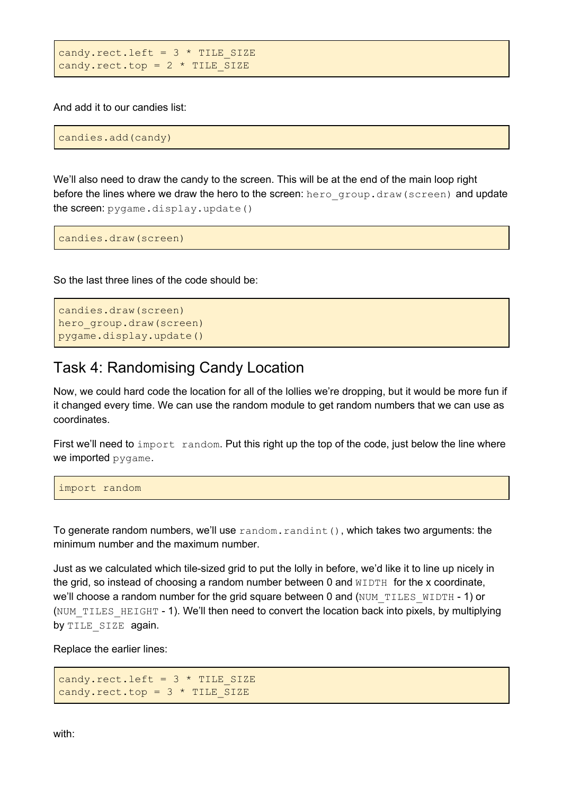```
candy.rect.left = 3 * TILE SIZE
candy.rect.top = 2 * TILE SIZE
```
And add it to our candies list:

candies.add(candy)

We'll also need to draw the candy to the screen. This will be at the end of the main loop right before the lines where we draw the hero to the screen: hero group.draw(screen) and update the screen: pygame.display.update()

candies.draw(screen)

So the last three lines of the code should be:

```
candies.draw(screen)
hero qroup.draw(screen)
pygame.display.update()
```
#### Task 4: Randomising Candy Location

Now, we could hard code the location for all of the lollies we're dropping, but it would be more fun if it changed every time. We can use the random module to get random numbers that we can use as coordinates.

First we'll need to import random. Put this right up the top of the code, just below the line where we imported pygame.

import random

To generate random numbers, we'll use random.randint(), which takes two arguments: the minimum number and the maximum number.

Just as we calculated which tile-sized grid to put the lolly in before, we'd like it to line up nicely in the grid, so instead of choosing a random number between 0 and  $WIDTH$  for the x coordinate, we'll choose a random number for the grid square between 0 and (NUM\_TILES\_WIDTH - 1) or (NUM TILES HEIGHT - 1). We'll then need to convert the location back into pixels, by multiplying by TILE SIZE again.

Replace the earlier lines:

```
candy.rect.left = 3 * TILE SIZE
candy.rect.top = 3 * TIME SIZE
```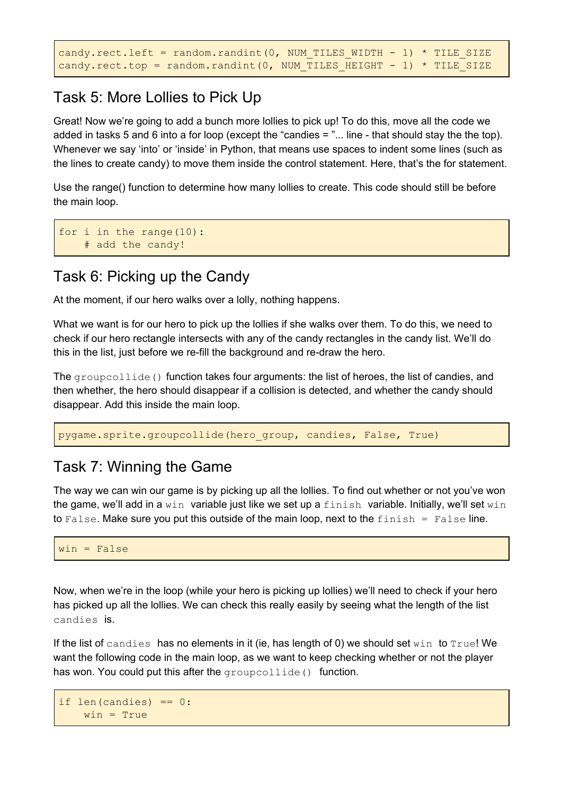```
candy.rect.left = random.randint(0, NUM TILES WIDTH - 1) * TILE SIZE
candy.rect.top = random.randint(0, NUM TILES HEIGHT - 1) * TILE SIZE
```
### Task 5: More Lollies to Pick Up

Great! Now we're going to add a bunch more lollies to pick up! To do this, move all the code we added in tasks 5 and 6 into a for loop (except the "candies = "... line - that should stay the the top). Whenever we say 'into' or 'inside' in Python, that means use spaces to indent some lines (such as the lines to create candy) to move them inside the control statement. Here, that's the for statement.

Use the range() function to determine how many lollies to create. This code should still be before the main loop.

```
for i in the range(10):
    # add the candy!
```
### Task 6: Picking up the Candy

At the moment, if our hero walks over a lolly, nothing happens.

What we want is for our hero to pick up the lollies if she walks over them. To do this, we need to check if our hero rectangle intersects with any of the candy rectangles in the candy list. We'll do this in the list, just before we re-fill the background and re-draw the hero.

The groupcollide () function takes four arguments: the list of heroes, the list of candies, and then whether, the hero should disappear if a collision is detected, and whether the candy should disappear. Add this inside the main loop.

pygame.sprite.groupcollide(hero\_group, candies, False, True)

#### Task 7: Winning the Game

The way we can win our game is by picking up all the lollies. To find out whether or not you've won the game, we'll add in a win variable just like we set up a finish variable. Initially, we'll set win to False. Make sure you put this outside of the main loop, next to the  $f$ inish = False line.

```
win = False
```
Now, when we're in the loop (while your hero is picking up lollies) we'll need to check if your hero has picked up all the lollies. We can check this really easily by seeing what the length of the list candies is.

If the list of candies has no elements in it (ie, has length of 0) we should set win to  $True!$  We want the following code in the main loop, as we want to keep checking whether or not the player has won. You could put this after the groupcollide() function.

```
if len(candies) == 0:
   win = True
```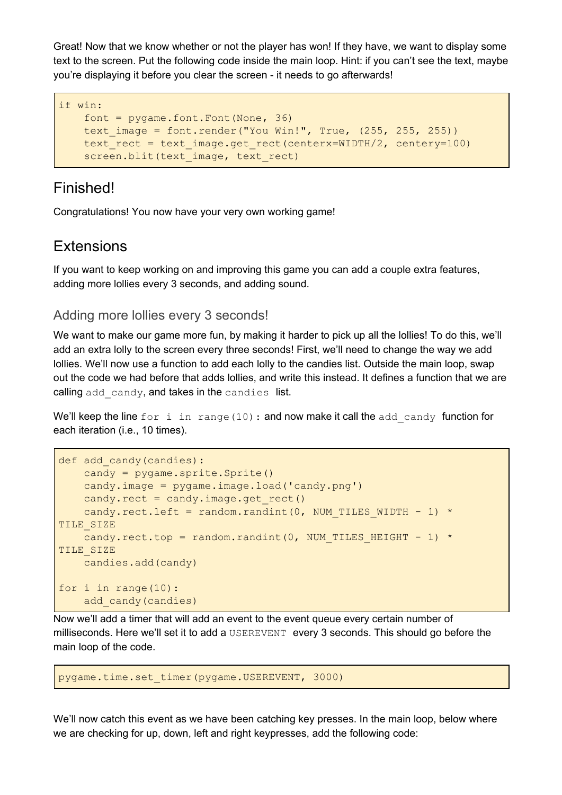Great! Now that we know whether or not the player has won! If they have, we want to display some text to the screen. Put the following code inside the main loop. Hint: if you can't see the text, maybe you're displaying it before you clear the screen - it needs to go afterwards!

```
if win:
   font = pygame.font.Font(None, 36)text_image = font.render("You Win!", True, (255, 255, 255))
   text rect = text image.get rect(centerx=WIDTH/2, centery=100)
   screen.blit(text_image, text_rect)
```
### Finished!

Congratulations! You now have your very own working game!

#### **Extensions**

If you want to keep working on and improving this game you can add a couple extra features, adding more lollies every 3 seconds, and adding sound.

#### Adding more lollies every 3 seconds!

We want to make our game more fun, by making it harder to pick up all the lollies! To do this, we'll add an extra lolly to the screen every three seconds! First, we'll need to change the way we add lollies. We'll now use a function to add each lolly to the candies list. Outside the main loop, swap out the code we had before that adds lollies, and write this instead. It defines a function that we are calling add candy, and takes in the candies list.

We'll keep the line for i in range(10): and now make it call the add candy function for each iteration (i.e., 10 times).

```
def add candy(candies):
   candy = pygame.sprite.Sprite()
   candy.image = pygame.image.load('candy.png')
   candy.rect = candy.image.get rect()candy.rect.left = random.randint(0, NUM TILES WIDTH - 1) *
TILE_SIZE
   candy.rect.top = random.randint(0, NUM_TILES_HEIGHT - 1) *
TILE_SIZE
   candies.add(candy)
for i in range(10):
    add_candy(candies)
```
Now we'll add a timer that will add an event to the event queue every certain number of milliseconds. Here we'll set it to add a USEREVENT every 3 seconds. This should go before the main loop of the code.

```
pygame.time.set_timer(pygame.USEREVENT, 3000)
```
We'll now catch this event as we have been catching key presses. In the main loop, below where we are checking for up, down, left and right keypresses, add the following code: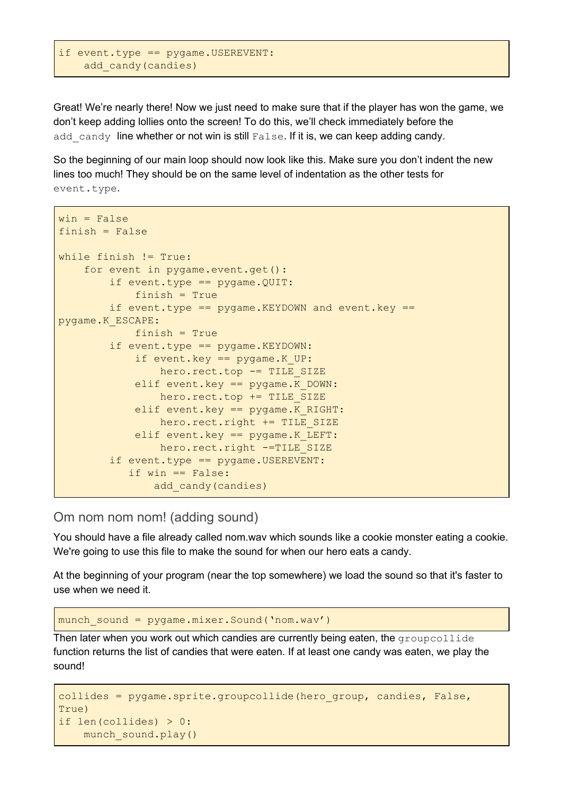```
if event.type == pygame.USEREVENT:
    add_candy(candies)
```
Great! We're nearly there! Now we just need to make sure that if the player has won the game, we don't keep adding lollies onto the screen! To do this, we'll check immediately before the add candy line whether or not win is still False. If it is, we can keep adding candy.

So the beginning of our main loop should now look like this. Make sure you don't indent the new lines too much! They should be on the same level of indentation as the other tests for event.type.

```
win = Falsefinish = Falsewhile finish != True:
    for event in pygame.event.get():
        if event.type == pygame.QUIT:
            finish = True
        if event.type == pygame.KEXPDOWN and event.key ==
pygame.K_ESCAPE:
            finish = True
        if event.type == pygame.KEYDOWN:
            if event.key == pygame.K_UP:
                hero.rect.top -= TILE_SIZE
            elif event.key == pygame.K DOWN:
                hero.rect.top += TILE_SIZE
            elif event.key == pygame.K RIGHT:
                hero.rect.right += TILE_SIZE
            elif event.key == pygame.K LEFT:
                hero.rect.right -=TILE SIZE
        if event.type == pygame.USEREVENT:
           if win == False:
               add_candy(candies)
```
Om nom nom nom! (adding sound)

You should have a file already called nom.wav which sounds like a cookie monster eating a cookie. We're going to use this file to make the sound for when our hero eats a candy.

At the beginning of your program (near the top somewhere) we load the sound so that it's faster to use when we need it.

munch\_sound = pygame.mixer.Sound('nom.wav')

Then later when you work out which candies are currently being eaten, the  $q$ roupcollide function returns the list of candies that were eaten. If at least one candy was eaten, we play the sound!

```
collides = pygame.sprite.groupcollide(hero group, candies, False,
True)
if len(collides) > 0:
   munch_sound.play()
```